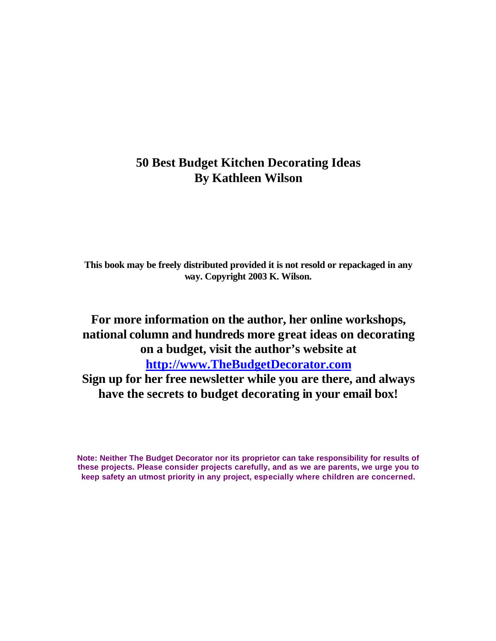## **50 Best Budget Kitchen Decorating Ideas By Kathleen Wilson**

**This book may be freely distributed provided it is not resold or repackaged in any way. Copyright 2003 K. Wilson.**

# **For more information on the author, her online workshops, national column and hundreds more great ideas on decorating on a budget, visit the author's website at http://www.TheBudgetDecorator.com**

**Sign up for her free newsletter while you are there, and always have the secrets to budget decorating in your email box!**

**Note: Neither The Budget Decorator nor its proprietor can take responsibility for results of these projects. Please consider projects carefully, and as we are parents, we urge you to keep safety an utmost priority in any project, especially where children are concerned.**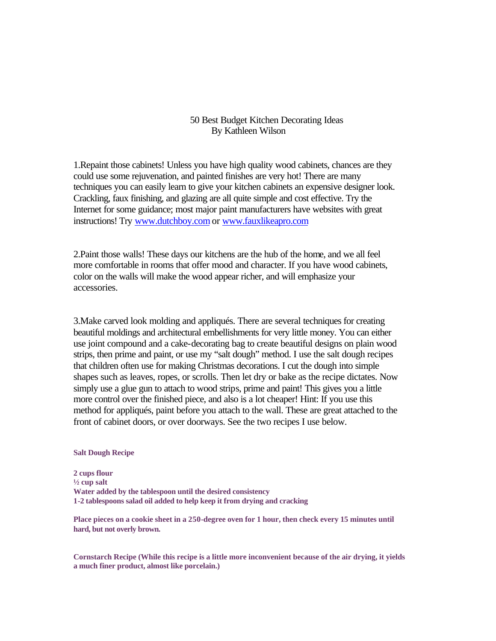### 50 Best Budget Kitchen Decorating Ideas By Kathleen Wilson

1.Repaint those cabinets! Unless you have high quality wood cabinets, chances are they could use some rejuvenation, and painted finishes are very hot! There are many techniques you can easily learn to give your kitchen cabinets an expensive designer look. Crackling, faux finishing, and glazing are all quite simple and cost effective. Try the Internet for some guidance; most major paint manufacturers have websites with great instructions! Try www.dutchboy.com or www.fauxlikeapro.com

2.Paint those walls! These days our kitchens are the hub of the home, and we all feel more comfortable in rooms that offer mood and character. If you have wood cabinets, color on the walls will make the wood appear richer, and will emphasize your accessories.

3.Make carved look molding and appliqués. There are several techniques for creating beautiful moldings and architectural embellishments for very little money. You can either use joint compound and a cake-decorating bag to create beautiful designs on plain wood strips, then prime and paint, or use my "salt dough" method. I use the salt dough recipes that children often use for making Christmas decorations. I cut the dough into simple shapes such as leaves, ropes, or scrolls. Then let dry or bake as the recipe dictates. Now simply use a glue gun to attach to wood strips, prime and paint! This gives you a little more control over the finished piece, and also is a lot cheaper! Hint: If you use this method for appliqués, paint before you attach to the wall. These are great attached to the front of cabinet doors, or over doorways. See the two recipes I use below.

#### **Salt Dough Recipe**

**2 cups flour ½ cup salt Water added by the tablespoon until the desired consistency 1-2 tablespoons salad oil added to help keep it from drying and cracking**

**Place pieces on a cookie sheet in a 250-degree oven for 1 hour, then check every 15 minutes until hard, but not overly brown.**

**Cornstarch Recipe (While this recipe is a little more inconvenient because of the air drying, it yields a much finer product, almost like porcelain.)**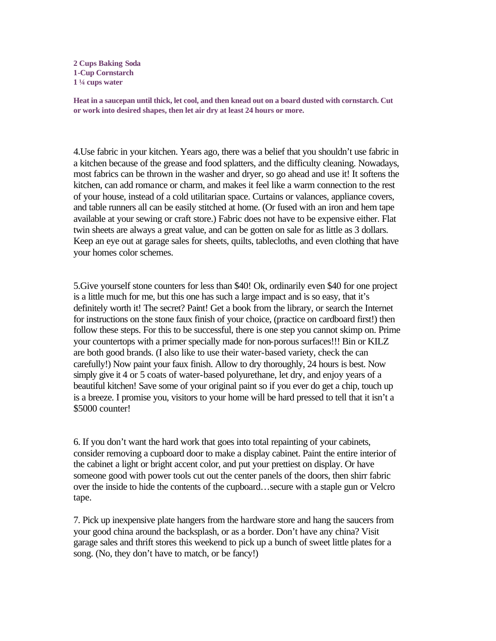**2 Cups Baking Soda 1-Cup Cornstarch 1 ¼ cups water**

**Heat in a saucepan until thick, let cool, and then knead out on a board dusted with cornstarch. Cut or work into desired shapes, then let air dry at least 24 hours or more.** 

4.Use fabric in your kitchen. Years ago, there was a belief that you shouldn't use fabric in a kitchen because of the grease and food splatters, and the difficulty cleaning. Nowadays, most fabrics can be thrown in the washer and dryer, so go ahead and use it! It softens the kitchen, can add romance or charm, and makes it feel like a warm connection to the rest of your house, instead of a cold utilitarian space. Curtains or valances, appliance covers, and table runners all can be easily stitched at home. (Or fused with an iron and hem tape available at your sewing or craft store.) Fabric does not have to be expensive either. Flat twin sheets are always a great value, and can be gotten on sale for as little as 3 dollars. Keep an eye out at garage sales for sheets, quilts, tablecloths, and even clothing that have your homes color schemes.

5.Give yourself stone counters for less than \$40! Ok, ordinarily even \$40 for one project is a little much for me, but this one has such a large impact and is so easy, that it's definitely worth it! The secret? Paint! Get a book from the library, or search the Internet for instructions on the stone faux finish of your choice, (practice on cardboard first!) then follow these steps. For this to be successful, there is one step you cannot skimp on. Prime your countertops with a primer specially made for non-porous surfaces!!! Bin or KILZ are both good brands. (I also like to use their water-based variety, check the can carefully!) Now paint your faux finish. Allow to dry thoroughly, 24 hours is best. Now simply give it 4 or 5 coats of water-based polyurethane, let dry, and enjoy years of a beautiful kitchen! Save some of your original paint so if you ever do get a chip, touch up is a breeze. I promise you, visitors to your home will be hard pressed to tell that it isn't a \$5000 counter!

6. If you don't want the hard work that goes into total repainting of your cabinets, consider removing a cupboard door to make a display cabinet. Paint the entire interior of the cabinet a light or bright accent color, and put your prettiest on display. Or have someone good with power tools cut out the center panels of the doors, then shirr fabric over the inside to hide the contents of the cupboard…secure with a staple gun or Velcro tape.

7. Pick up inexpensive plate hangers from the hardware store and hang the saucers from your good china around the backsplash, or as a border. Don't have any china? Visit garage sales and thrift stores this weekend to pick up a bunch of sweet little plates for a song. (No, they don't have to match, or be fancy!)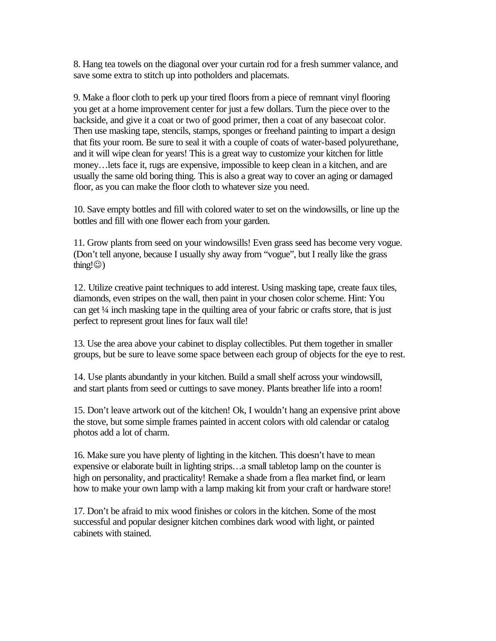8. Hang tea towels on the diagonal over your curtain rod for a fresh summer valance, and save some extra to stitch up into potholders and placemats.

9. Make a floor cloth to perk up your tired floors from a piece of remnant vinyl flooring you get at a home improvement center for just a few dollars. Turn the piece over to the backside, and give it a coat or two of good primer, then a coat of any basecoat color. Then use masking tape, stencils, stamps, sponges or freehand painting to impart a design that fits your room. Be sure to seal it with a couple of coats of water-based polyurethane, and it will wipe clean for years! This is a great way to customize your kitchen for little money…lets face it, rugs are expensive, impossible to keep clean in a kitchen, and are usually the same old boring thing. This is also a great way to cover an aging or damaged floor, as you can make the floor cloth to whatever size you need.

10. Save empty bottles and fill with colored water to set on the windowsills, or line up the bottles and fill with one flower each from your garden.

11. Grow plants from seed on your windowsills! Even grass seed has become very vogue. (Don't tell anyone, because I usually shy away from "vogue", but I really like the grass thing! $\circledcirc$ )

12. Utilize creative paint techniques to add interest. Using masking tape, create faux tiles, diamonds, even stripes on the wall, then paint in your chosen color scheme. Hint: You can get ¼ inch masking tape in the quilting area of your fabric or crafts store, that is just perfect to represent grout lines for faux wall tile!

13. Use the area above your cabinet to display collectibles. Put them together in smaller groups, but be sure to leave some space between each group of objects for the eye to rest.

14. Use plants abundantly in your kitchen. Build a small shelf across your windowsill, and start plants from seed or cuttings to save money. Plants breather life into a room!

15. Don't leave artwork out of the kitchen! Ok, I wouldn't hang an expensive print above the stove, but some simple frames painted in accent colors with old calendar or catalog photos add a lot of charm.

16. Make sure you have plenty of lighting in the kitchen. This doesn't have to mean expensive or elaborate built in lighting strips…a small tabletop lamp on the counter is high on personality, and practicality! Remake a shade from a flea market find, or learn how to make your own lamp with a lamp making kit from your craft or hardware store!

17. Don't be afraid to mix wood finishes or colors in the kitchen. Some of the most successful and popular designer kitchen combines dark wood with light, or painted cabinets with stained.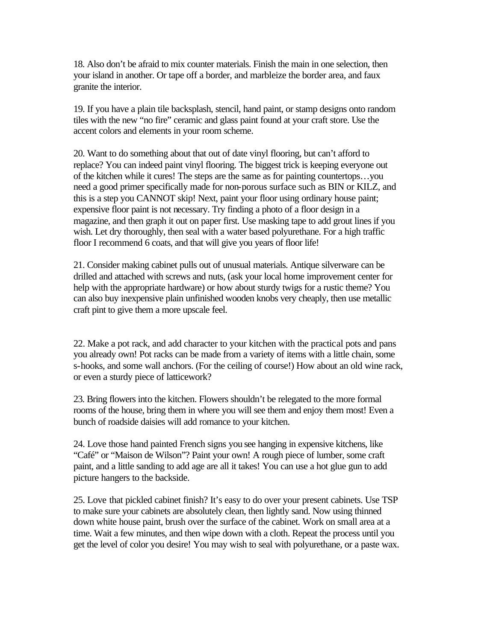18. Also don't be afraid to mix counter materials. Finish the main in one selection, then your island in another. Or tape off a border, and marbleize the border area, and faux granite the interior.

19. If you have a plain tile backsplash, stencil, hand paint, or stamp designs onto random tiles with the new "no fire" ceramic and glass paint found at your craft store. Use the accent colors and elements in your room scheme.

20. Want to do something about that out of date vinyl flooring, but can't afford to replace? You can indeed paint vinyl flooring. The biggest trick is keeping everyone out of the kitchen while it cures! The steps are the same as for painting countertops…you need a good primer specifically made for non-porous surface such as BIN or KILZ, and this is a step you CANNOT skip! Next, paint your floor using ordinary house paint; expensive floor paint is not necessary. Try finding a photo of a floor design in a magazine, and then graph it out on paper first. Use masking tape to add grout lines if you wish. Let dry thoroughly, then seal with a water based polyurethane. For a high traffic floor I recommend 6 coats, and that will give you years of floor life!

21. Consider making cabinet pulls out of unusual materials. Antique silverware can be drilled and attached with screws and nuts, (ask your local home improvement center for help with the appropriate hardware) or how about sturdy twigs for a rustic theme? You can also buy inexpensive plain unfinished wooden knobs very cheaply, then use metallic craft pint to give them a more upscale feel.

22. Make a pot rack, and add character to your kitchen with the practical pots and pans you already own! Pot racks can be made from a variety of items with a little chain, some s-hooks, and some wall anchors. (For the ceiling of course!) How about an old wine rack, or even a sturdy piece of latticework?

23. Bring flowers into the kitchen. Flowers shouldn't be relegated to the more formal rooms of the house, bring them in where you will see them and enjoy them most! Even a bunch of roadside daisies will add romance to your kitchen.

24. Love those hand painted French signs you see hanging in expensive kitchens, like "Café" or "Maison de Wilson"? Paint your own! A rough piece of lumber, some craft paint, and a little sanding to add age are all it takes! You can use a hot glue gun to add picture hangers to the backside.

25. Love that pickled cabinet finish? It's easy to do over your present cabinets. Use TSP to make sure your cabinets are absolutely clean, then lightly sand. Now using thinned down white house paint, brush over the surface of the cabinet. Work on small area at a time. Wait a few minutes, and then wipe down with a cloth. Repeat the process until you get the level of color you desire! You may wish to seal with polyurethane, or a paste wax.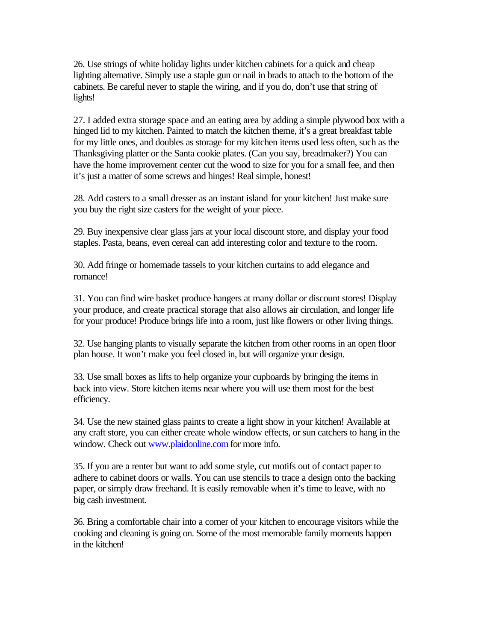26. Use strings of white holiday lights under kitchen cabinets for a quick and cheap lighting alternative. Simply use a staple gun or nail in brads to attach to the bottom of the cabinets. Be careful never to staple the wiring, and if you do, don't use that string of lights!

27. I added extra storage space and an eating area by adding a simple plywood box with a hinged lid to my kitchen. Painted to match the kitchen theme, it's a great breakfast table for my little ones, and doubles as storage for my kitchen items used less often, such as the Thanksgiving platter or the Santa cookie plates. (Can you say, breadmaker?) You can have the home improvement center cut the wood to size for you for a small fee, and then it's just a matter of some screws and hinges! Real simple, honest!

28. Add casters to a small dresser as an instant island for your kitchen! Just make sure you buy the right size casters for the weight of your piece.

29. Buy inexpensive clear glass jars at your local discount store, and display your food staples. Pasta, beans, even cereal can add interesting color and texture to the room.

30. Add fringe or homemade tassels to your kitchen curtains to add elegance and romance!

31. You can find wire basket produce hangers at many dollar or discount stores! Display your produce, and create practical storage that also allows air circulation, and longer life for your produce! Produce brings life into a room, just like flowers or other living things.

32. Use hanging plants to visually separate the kitchen from other rooms in an open floor plan house. It won't make you feel closed in, but will organize your design.

33. Use small boxes as lifts to help organize your cupboards by bringing the items in back into view. Store kitchen items near where you will use them most for the best efficiency.

34. Use the new stained glass paints to create a light show in your kitchen! Available at any craft store, you can either create whole window effects, or sun catchers to hang in the window. Check out www.plaidonline.com for more info.

35. If you are a renter but want to add some style, cut motifs out of contact paper to adhere to cabinet doors or walls. You can use stencils to trace a design onto the backing paper, or simply draw freehand. It is easily removable when it's time to leave, with no big cash investment.

36. Bring a comfortable chair into a corner of your kitchen to encourage visitors while the cooking and cleaning is going on. Some of the most memorable family moments happen in the kitchen!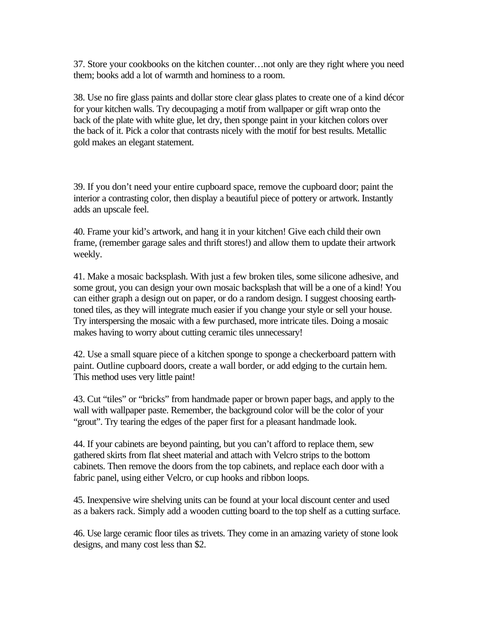37. Store your cookbooks on the kitchen counter…not only are they right where you need them; books add a lot of warmth and hominess to a room.

38. Use no fire glass paints and dollar store clear glass plates to create one of a kind décor for your kitchen walls. Try decoupaging a motif from wallpaper or gift wrap onto the back of the plate with white glue, let dry, then sponge paint in your kitchen colors over the back of it. Pick a color that contrasts nicely with the motif for best results. Metallic gold makes an elegant statement.

39. If you don't need your entire cupboard space, remove the cupboard door; paint the interior a contrasting color, then display a beautiful piece of pottery or artwork. Instantly adds an upscale feel.

40. Frame your kid's artwork, and hang it in your kitchen! Give each child their own frame, (remember garage sales and thrift stores!) and allow them to update their artwork weekly.

41. Make a mosaic backsplash. With just a few broken tiles, some silicone adhesive, and some grout, you can design your own mosaic backsplash that will be a one of a kind! You can either graph a design out on paper, or do a random design. I suggest choosing earthtoned tiles, as they will integrate much easier if you change your style or sell your house. Try interspersing the mosaic with a few purchased, more intricate tiles. Doing a mosaic makes having to worry about cutting ceramic tiles unnecessary!

42. Use a small square piece of a kitchen sponge to sponge a checkerboard pattern with paint. Outline cupboard doors, create a wall border, or add edging to the curtain hem. This method uses very little paint!

43. Cut "tiles" or "bricks" from handmade paper or brown paper bags, and apply to the wall with wallpaper paste. Remember, the background color will be the color of your "grout". Try tearing the edges of the paper first for a pleasant handmade look.

44. If your cabinets are beyond painting, but you can't afford to replace them, sew gathered skirts from flat sheet material and attach with Velcro strips to the bottom cabinets. Then remove the doors from the top cabinets, and replace each door with a fabric panel, using either Velcro, or cup hooks and ribbon loops.

45. Inexpensive wire shelving units can be found at your local discount center and used as a bakers rack. Simply add a wooden cutting board to the top shelf as a cutting surface.

46. Use large ceramic floor tiles as trivets. They come in an amazing variety of stone look designs, and many cost less than \$2.